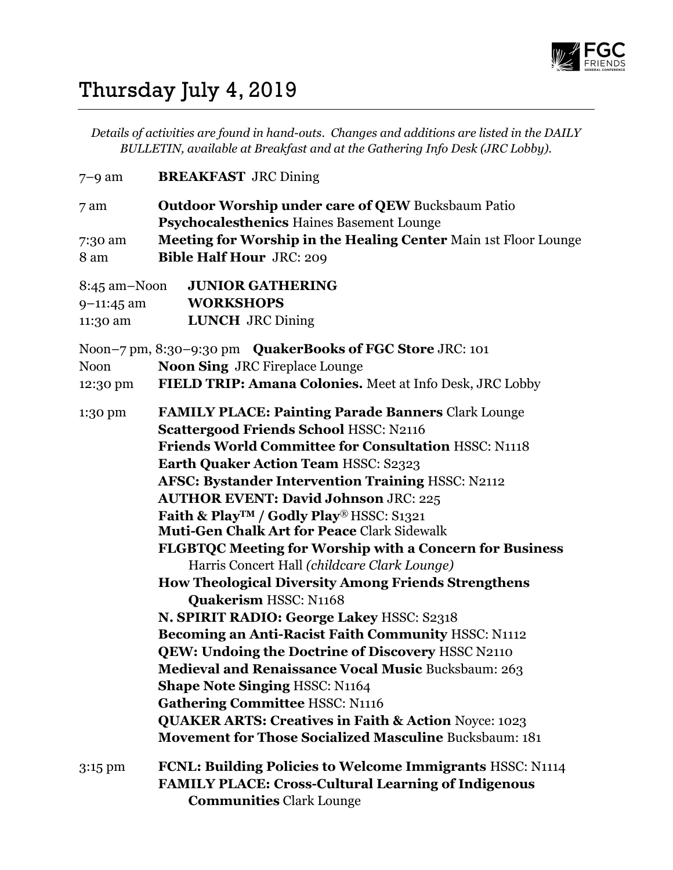

## Thursday July 4, 2019

Details of activities are found in hand-outs. Changes and additions are listed in the DAILY BULLETIN, available at Breakfast and at the Gathering Info Desk (JRC Lobby).

| $7-9$ am                                         | <b>BREAKFAST</b> JRC Dining                                                                                                                                                                                         |
|--------------------------------------------------|---------------------------------------------------------------------------------------------------------------------------------------------------------------------------------------------------------------------|
| 7 am                                             | <b>Outdoor Worship under care of QEW Bucksbaum Patio</b><br>Psychocalesthenics Haines Basement Lounge                                                                                                               |
| 7:30 am<br>8 am                                  | Meeting for Worship in the Healing Center Main 1st Floor Lounge<br><b>Bible Half Hour JRC: 209</b>                                                                                                                  |
| $8:45$ am $-N$ oon<br>$9 - 11:45$ am<br>11:30 am | <b>JUNIOR GATHERING</b><br><b>WORKSHOPS</b><br><b>LUNCH</b> JRC Dining                                                                                                                                              |
| <b>Noon</b>                                      | <b>QuakerBooks of FGC Store JRC: 101</b><br>Noon-7 pm, 8:30-9:30 pm<br><b>Noon Sing JRC Fireplace Lounge</b>                                                                                                        |
| 12:30 pm                                         | FIELD TRIP: Amana Colonies. Meet at Info Desk, JRC Lobby                                                                                                                                                            |
| 1:30 pm                                          | <b>FAMILY PLACE: Painting Parade Banners Clark Lounge</b><br><b>Scattergood Friends School HSSC: N2116</b><br><b>Friends World Committee for Consultation HSSC: N1118</b>                                           |
|                                                  | <b>Earth Quaker Action Team HSSC: S2323</b><br><b>AFSC: Bystander Intervention Training HSSC: N2112</b><br><b>AUTHOR EVENT: David Johnson JRC: 225</b>                                                              |
|                                                  | Faith & Play <sup>™</sup> / Godly Play® HSSC: S1321<br><b>Muti-Gen Chalk Art for Peace Clark Sidewalk</b>                                                                                                           |
|                                                  | <b>FLGBTQC Meeting for Worship with a Concern for Business</b><br>Harris Concert Hall (childcare Clark Lounge)                                                                                                      |
|                                                  | <b>How Theological Diversity Among Friends Strengthens</b><br><b>Quakerism HSSC: N1168</b>                                                                                                                          |
|                                                  | N. SPIRIT RADIO: George Lakey HSSC: S2318<br>Becoming an Anti-Racist Faith Community HSSC: N1112<br>QEW: Undoing the Doctrine of Discovery HSSC N2110<br><b>Medieval and Renaissance Vocal Music Bucksbaum: 263</b> |
|                                                  | <b>Shape Note Singing HSSC: N1164</b><br><b>Gathering Committee HSSC: N1116</b>                                                                                                                                     |
|                                                  | <b>QUAKER ARTS: Creatives in Faith &amp; Action Noyce: 1023</b><br><b>Movement for Those Socialized Masculine Bucksbaum: 181</b>                                                                                    |
| 3:15 pm                                          | FCNL: Building Policies to Welcome Immigrants HSSC: N1114<br><b>FAMILY PLACE: Cross-Cultural Learning of Indigenous</b><br><b>Communities Clark Lounge</b>                                                          |